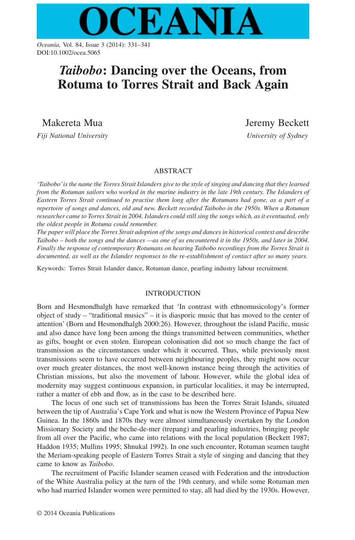

*Oceania,* Vol. 84, Issue 3 (2014): 331–341 DOI:10.1002/ocea.5065

# *Taibobo***: Dancing over the Oceans, from Rotuma to Torres Strait and Back Again**

Makereta Mua

*Fiji National University*

Jeremy Beckett *University of Sydney*

## ABSTRACT

*'Taibobo'is the name the Torres Strait Islanders give to the style of singing and dancing that they learned from the Rotuman sailors who worked in the marine industry in the late 19th century. The Islanders of Eastern Torres Strait continued to practise them long after the Rotumans had gone, as a part of a repertoire of songs and dances, old and new. Beckett recorded Taibobo in the 1950s. When a Rotuman researcher came to Torres Strait in 2004, Islanders could still sing the songs which, as it eventuated, only the oldest people in Rotuma could remember.*

*The paper will place the Torres Strait adoption of the songs and dances in historical context and describe Taibobo – both the songs and the dances —as one of us encountered it in the 1950s, and later in 2004. Finally the response of contemporary Rotumans on hearing Taibobo recordings from the Torres Strait is documented, as well as the Islander responses to the re-establishment of contact after so many years.*

Keywords: Torres Strait Islander dance, Rotuman dance, pearling industry labour recruitment.

# INTRODUCTION

Born and Hesmondhalgh have remarked that 'In contrast with ethnomusicology's former object of study – "traditional musics" – it is diasporic music that has moved to the center of attention' (Born and Hesmondhalgh 2000:26). However, throughout the island Pacific, music and also dance have long been among the things transmitted between communities, whether as gifts, bought or even stolen. European colonisation did not so much change the fact of transmission as the circumstances under which it occurred. Thus, while previously most transmissions seem to have occurred between neighbouring peoples, they might now occur over much greater distances, the most well-known instance being through the activities of Christian missions, but also the movement of labour. However, while the global idea of modernity may suggest continuous expansion, in particular localities, it may be interrupted, rather a matter of ebb and flow, as in the case to be described here.

The locus of one such set of transmissions has been the Torres Strait Islands, situated between the tip of Australia's Cape York and what is now the Western Province of Papua New Guinea. In the 1860s and 1870s they were almost simultaneously overtaken by the London Missionary Society and the beche-de-mer (trepang) and pearling industries, bringing people from all over the Pacific, who came into relations with the local population (Beckett 1987; Haddon 1935; Mullins 1995; Shnukal 1992). In one such encounter, Rotuman seamen taught the Meriam-speaking people of Eastern Torres Strait a style of singing and dancing that they came to know as *Taibobo*.

The recruitment of Pacific Islander seamen ceased with Federation and the introduction of the White Australia policy at the turn of the 19th century, and while some Rotuman men who had married Islander women were permitted to stay, all had died by the 1930s. However,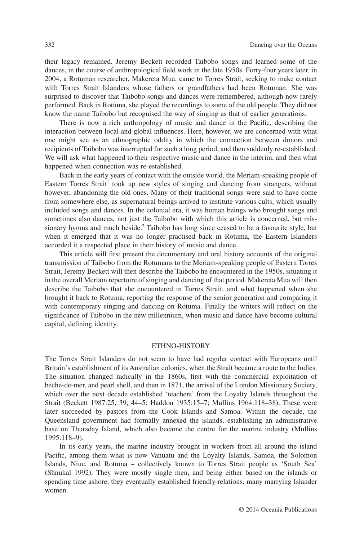their legacy remained. Jeremy Beckett recorded Taibobo songs and learned some of the dances, in the course of anthropological field work in the late 1950s. Forty-four years later, in 2004, a Rotuman researcher, Makereta Mua, came to Torres Strait, seeking to make contact with Torres Strait Islanders whose fathers or grandfathers had been Rotuman. She was surprised to discover that Taibobo songs and dances were remembered, although now rarely performed. Back in Rotuma, she played the recordings to some of the old people. They did not know the name Taibobo but recognised the way of singing as that of earlier generations.

There is now a rich anthropology of music and dance in the Pacific, describing the interaction between local and global influences. Here, however, we are concerned with what one might see as an ethnographic oddity in which the connection between donors and recipients of Taibobo was interrupted for such a long period, and then suddenly re-established. We will ask what happened to their respective music and dance in the interim, and then what happened when connection was re-established.

Back in the early years of contact with the outside world, the Meriam-speaking people of Eastern Torres Strait<sup>1</sup> took up new styles of singing and dancing from strangers, without however, abandoning the old ones. Many of their traditional songs were said to have come from somewhere else, as supernatural beings arrived to institute various cults, which usually included songs and dances. In the colonial era, it was human beings who brought songs and sometimes also dances, not just the Taibobo with which this article is concerned, but missionary hymns and much beside.<sup>2</sup> Taibobo has long since ceased to be a favourite style, but when it emerged that it was no longer practised back in Rotuma, the Eastern Islanders accorded it a respected place in their history of music and dance.

This article will first present the documentary and oral history accounts of the original transmission of Taibobo from the Rotumans to the Meriam-speaking people of Eastern Torres Strait, Jeremy Beckett will then describe the Taibobo he encountered in the 1950s, situating it in the overall Meriam repertoire of singing and dancing of that period. Makereta Mua will then describe the Taibobo that she encountered in Torres Strait, and what happened when she brought it back to Rotuma, reporting the response of the senior generation and comparing it with contemporary singing and dancing on Rotuma. Finally the writers will reflect on the significance of Taibobo in the new millennium, when music and dance have become cultural capital, defining identity.

#### ETHNO-HISTORY

The Torres Strait Islanders do not seem to have had regular contact with Europeans until Britain's establishment of its Australian colonies, when the Strait became a route to the Indies. The situation changed radically in the 1860s, first with the commercial exploitation of beche-de-mer, and pearl shell, and then in 1871, the arrival of the London Missionary Society, which over the next decade established 'teachers' from the Loyalty Islands throughout the Strait (Beckett 1987:25, 39, 44–5; Haddon 1935:15–7; Mullins 1964:118–38). These were later succeeded by pastors from the Cook Islands and Samoa. Within the decade, the Queensland government had formally annexed the islands, establishing an administrative base on Thursday Island, which also became the centre for the marine industry (Mullins 1995:118–9).

In its early years, the marine industry brought in workers from all around the island Pacific, among them what is now Vanuatu and the Loyalty Islands, Samoa, the Solomon Islands, Niue, and Rotuma – collectively known to Torres Strait people as 'South Sea' (Shnukal 1992). They were mostly single men, and being either based on the islands or spending time ashore, they eventually established friendly relations, many marrying Islander women.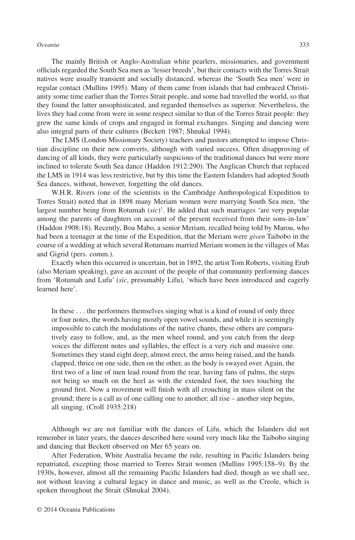#### *Oceania* 333

The mainly British or Anglo-Australian white pearlers, missionaries, and government officials regarded the South Sea men as 'lesser breeds', but their contacts with the Torres Strait natives were usually transient and socially distanced, whereas the 'South Sea men' were in regular contact (Mullins 1995). Many of them came from islands that had embraced Christianity some time earlier than the Torres Strait people, and some had travelled the world, so that they found the latter unsophisticated, and regarded themselves as superior. Nevertheless, the lives they had come from were in some respect similar to that of the Torres Strait people: they grew the same kinds of crops and engaged in formal exchanges. Singing and dancing were also integral parts of their cultures (Beckett 1987; Shnukal 1994).

The LMS (London Missionary Society) teachers and pastors attempted to impose Christian discipline on their new converts, although with varied success. Often disapproving of dancing of all kinds, they were particularly suspicious of the traditional dances but were more inclined to tolerate South Sea dance (Haddon 1912:290). The Anglican Church that replaced the LMS in 1914 was less restrictive, but by this time the Eastern Islanders had adopted South Sea dances, without, however, forgetting the old dances.

W.H.R. Rivers (one of the scientists in the Cambridge Anthropological Expedition to Torres Strait) noted that in 1898 many Meriam women were marrying South Sea men, 'the largest number being from Rotumah (*sic*)'. He added that such marriages 'are very popular among the parents of daughters on account of the present received from their sons-in-law' (Haddon 1908:18). Recently, Boa Mabo, a senior Meriam, recalled being told by Marou, who had been a teenager at the time of the Expedition, that the Meriam were *given* Taibobo in the course of a wedding at which several Rotumans married Meriam women in the villages of Mas and Gigrid (pers. comm.).

Exactly when this occurred is uncertain, but in 1892, the artist Tom Roberts, visiting Erub (also Meriam speaking), gave an account of the people of that community performing dances from 'Rotumah and Lufu' (*sic*, presumably Lifu), 'which have been introduced and eagerly learned here'.

In these . . . the performers themselves singing what is a kind of round of only three or four notes, the words having mostly open vowel sounds, and while it is seemingly impossible to catch the modulations of the native chants, these others are comparatively easy to follow, and, as the men wheel round, and you catch from the deep voices the different notes and syllables, the effect is a very rich and massive one. Sometimes they stand eight deep, almost erect, the arms being raised, and the hands clapped, thrice on one side, then on the other, as the body is swayed over. Again, the first two of a line of men lead round from the rear, having fans of palms, the steps not being so much on the heel as with the extended foot, the toes touching the ground first. Now a movement will finish with all crouching in mass silent on the ground; there is a call as of one calling one to another; all rise – another step begins, all singing. (Croll 1935:218)

Although we are not familiar with the dances of Lifu, which the Islanders did not remember in later years, the dances described here sound very much like the Taibobo singing and dancing that Beckett observed on Mer 65 years on.

After Federation, White Australia became the rule, resulting in Pacific Islanders being repatriated, excepting those married to Torres Strait women (Mullins 1995:158–9). By the 1930s, however, almost all the remaining Pacific Islanders had died, though as we shall see, not without leaving a cultural legacy in dance and music, as well as the Creole, which is spoken throughout the Strait (Shnukal 2004).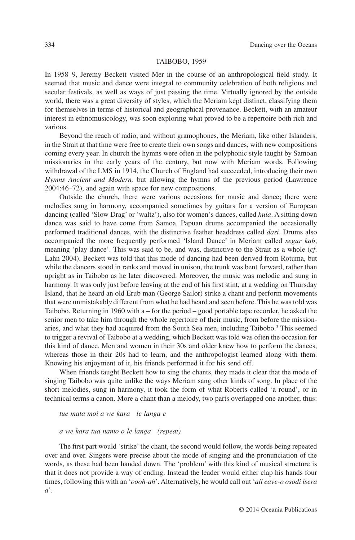#### TAIBOBO, 1959

In 1958–9, Jeremy Beckett visited Mer in the course of an anthropological field study. It seemed that music and dance were integral to community celebration of both religious and secular festivals, as well as ways of just passing the time. Virtually ignored by the outside world, there was a great diversity of styles, which the Meriam kept distinct, classifying them for themselves in terms of historical and geographical provenance. Beckett, with an amateur interest in ethnomusicology, was soon exploring what proved to be a repertoire both rich and various.

Beyond the reach of radio, and without gramophones, the Meriam, like other Islanders, in the Strait at that time were free to create their own songs and dances, with new compositions coming every year. In church the hymns were often in the polyphonic style taught by Samoan missionaries in the early years of the century, but now with Meriam words. Following withdrawal of the LMS in 1914, the Church of England had succeeded, introducing their own *Hymns Ancient and Modern,* but allowing the hymns of the previous period (Lawrence 2004:46–72), and again with space for new compositions.

Outside the church, there were various occasions for music and dance; there were melodies sung in harmony, accompanied sometimes by guitars for a version of European dancing (called 'Slow Drag' or 'waltz'), also for women's dances, called *hula*. A sitting down dance was said to have come from Samoa. Papuan drums accompanied the occasionally performed traditional dances, with the distinctive feather headdress called *dari*. Drums also accompanied the more frequently performed 'Island Dance' in Meriam called *segur kab*, meaning 'play dance'. This was said to be, and was, distinctive to the Strait as a whole (*cf*. Lahn 2004). Beckett was told that this mode of dancing had been derived from Rotuma, but while the dancers stood in ranks and moved in unison, the trunk was bent forward, rather than upright as in Taibobo as he later discovered. Moreover, the music was melodic and sung in harmony. It was only just before leaving at the end of his first stint, at a wedding on Thursday Island, that he heard an old Erub man (George Sailor) strike a chant and perform movements that were unmistakabl*y* different from what he had heard and seen before. This he was told was Taibobo. Returning in 1960 with  $a$  – for the period – good portable tape recorder, he asked the senior men to take him through the whole repertoire of their music, from before the missionaries, and what they had acquired from the South Sea men, including Taibobo.<sup>3</sup> This seemed to trigger a revival of Taibobo at a wedding, which Beckett was told was often the occasion for this kind of dance. Men and women in their 30s and older knew how to perform the dances, whereas those in their 20s had to learn, and the anthropologist learned along with them. Knowing his enjoyment of it, his friends performed it for his send off.

When friends taught Beckett how to sing the chants, they made it clear that the mode of singing Taibobo was quite unlike the ways Meriam sang other kinds of song. In place of the short melodies, sung in harmony, it took the form of what Roberts called 'a round', or in technical terms a canon. More a chant than a melody, two parts overlapped one another, thus:

## *tue mata moi a we kara le langa e*

#### *a we kara tua namo o le langa (repeat)*

The first part would 'strike' the chant, the second would follow, the words being repeated over and over. Singers were precise about the mode of singing and the pronunciation of the words, as these had been handed down. The 'problem' with this kind of musical structure is that it does not provide a way of ending. Instead the leader would either clap his hands four times, following this with an '*oooh-ah*'. Alternatively, he would call out '*all eave-o osodi isera a*'.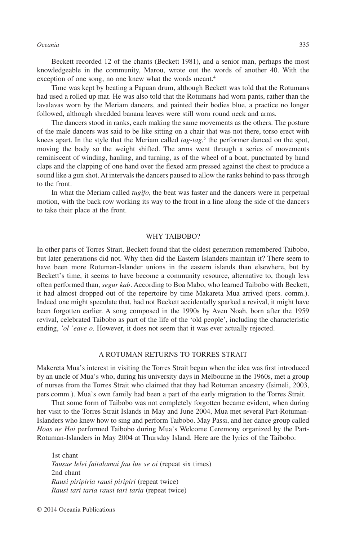#### *Oceania* 335

Beckett recorded 12 of the chants (Beckett 1981), and a senior man, perhaps the most knowledgeable in the community, Marou, wrote out the words of another 40. With the exception of one song, no one knew what the words meant.<sup>4</sup>

Time was kept by beating a Papuan drum, although Beckett was told that the Rotumans had used a rolled up mat. He was also told that the Rotumans had worn pants, rather than the lavalavas worn by the Meriam dancers, and painted their bodies blue, a practice no longer followed, although shredded banana leaves were still worn round neck and arms.

The dancers stood in ranks, each making the same movements as the others. The posture of the male dancers was said to be like sitting on a chair that was not there, torso erect with knees apart. In the style that the Meriam called *tag-tag*, <sup>5</sup> the performer danced on the spot, moving the body so the weight shifted. The arms went through a series of movements reminiscent of winding, hauling, and turning, as of the wheel of a boat, punctuated by hand claps and the clapping of one hand over the flexed arm pressed against the chest to produce a sound like a gun shot. At intervals the dancers paused to allow the ranks behind to pass through to the front.

In what the Meriam called *tugifo*, the beat was faster and the dancers were in perpetual motion, with the back row working its way to the front in a line along the side of the dancers to take their place at the front.

#### WHY TAIBOBO?

In other parts of Torres Strait, Beckett found that the oldest generation remembered Taibobo, but later generations did not. Why then did the Eastern Islanders maintain it? There seem to have been more Rotuman-Islander unions in the eastern islands than elsewhere, but by Beckett's time, it seems to have become a community resource, alternative to, though less often performed than, *segur kab*. According to Boa Mabo, who learned Taibobo with Beckett, it had almost dropped out of the repertoire by time Makareta Mua arrived (pers. comm.). Indeed one might speculate that, had not Beckett accidentally sparked a revival, it might have been forgotten earlier. A song composed in the 1990s by Aven Noah, born after the 1959 revival, celebrated Taibobo as part of the life of the 'old people', including the characteristic ending, *'ol 'eave o*. However, it does not seem that it was ever actually rejected.

## A ROTUMAN RETURNS TO TORRES STRAIT

Makereta Mua's interest in visiting the Torres Strait began when the idea was first introduced by an uncle of Mua's who, during his university days in Melbourne in the 1960s, met a group of nurses from the Torres Strait who claimed that they had Rotuman ancestry (Isimeli, 2003, pers.comm.). Mua's own family had been a part of the early migration to the Torres Strait.

That some form of Taibobo was not completely forgotten became evident, when during her visit to the Torres Strait Islands in May and June 2004, Mua met several Part-Rotuman-Islanders who knew how to sing and perform Taibobo. May Passi, and her dance group called *Hoas ne Hoi* performed Taibobo during Mua's Welcome Ceremony organized by the Part-Rotuman-Islanders in May 2004 at Thursday Island. Here are the lyrics of the Taibobo:

1st chant *Tausue lelei faitalamai fau lue se oi* (repeat six times) 2nd chant *Rausi piripiria rausi piripiri* (repeat twice) *Rausi tari taria rausi tari taria* (repeat twice)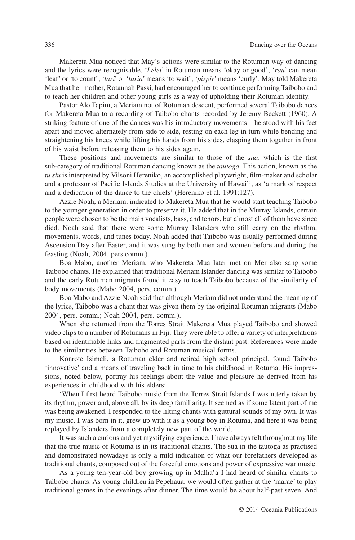Makereta Mua noticed that May's actions were similar to the Rotuman way of dancing and the lyrics were recognisable. '*Lelei*' in Rotuman means 'okay or good'; '*rau*' can mean 'leaf' or 'to count'; '*tari*' or '*taria*' means 'to wait'; '*pirpir*' means 'curly'. May told Makereta Mua that her mother, Rotannah Passi, had encouraged her to continue performing Taibobo and to teach her children and other young girls as a way of upholding their Rotuman identity.

Pastor Alo Tapim, a Meriam not of Rotuman descent, performed several Taibobo dances for Makereta Mua to a recording of Taibobo chants recorded by Jeremy Beckett (1960). A striking feature of one of the dances was his introductory movements – he stood with his feet apart and moved alternately from side to side, resting on each leg in turn while bending and straightening his knees while lifting his hands from his sides, clasping them together in front of his waist before releasing them to his sides again.

These positions and movements are similar to those of the *sua*, which is the first sub-category of traditional Rotuman dancing known as the *tautoga*. This action, known as the *tu siu* is interpreted by Vilsoni Hereniko, an accomplished playwright, film-maker and scholar and a professor of Pacific Islands Studies at the University of Hawai'i, as 'a mark of respect and a dedication of the dance to the chiefs' (Hereniko et al. 1991:127).

Azzie Noah, a Meriam, indicated to Makereta Mua that he would start teaching Taibobo to the younger generation in order to preserve it. He added that in the Murray Islands, certain people were chosen to be the main vocalists, bass, and tenors, but almost all of them have since died. Noah said that there were some Murray Islanders who still carry on the rhythm, movements, words, and tunes today. Noah added that Taibobo was usually performed during Ascension Day after Easter, and it was sung by both men and women before and during the feasting (Noah, 2004, pers.comm.).

Boa Mabo, another Meriam, who Makereta Mua later met on Mer also sang some Taibobo chants. He explained that traditional Meriam Islander dancing was similar to Taibobo and the early Rotuman migrants found it easy to teach Taibobo because of the similarity of body movements (Mabo 2004, pers. comm.).

Boa Mabo and Azzie Noah said that although Meriam did not understand the meaning of the lyrics, Taibobo was a chant that was given them by the original Rotuman migrants (Mabo 2004, pers. comm.; Noah 2004, pers. comm.).

When she returned from the Torres Strait Makereta Mua played Taibobo and showed video clips to a number of Rotumans in Fiji. They were able to offer a variety of interpretations based on identifiable links and fragmented parts from the distant past. References were made to the similarities between Taibobo and Rotuman musical forms.

Konrote Isimeli, a Rotuman elder and retired high school principal, found Taibobo 'innovative' and a means of traveling back in time to his childhood in Rotuma. His impressions, noted below, portray his feelings about the value and pleasure he derived from his experiences in childhood with his elders:

'When I first heard Taibobo music from the Torres Strait Islands I was utterly taken by its rhythm, power and, above all, by its deep familiarity. It seemed as if some latent part of me was being awakened. I responded to the lilting chants with guttural sounds of my own. It was my music. I was born in it, grew up with it as a young boy in Rotuma, and here it was being replayed by Islanders from a completely new part of the world.

It was such a curious and yet mystifying experience. I have always felt throughout my life that the true music of Rotuma is in its traditional chants. The sua in the tautoga as practised and demonstrated nowadays is only a mild indication of what our forefathers developed as traditional chants, composed out of the forceful emotions and power of expressive war music.

As a young ten-year-old boy growing up in Malha'a I had heard of similar chants to Taibobo chants. As young children in Pepehaua, we would often gather at the 'marae' to play traditional games in the evenings after dinner. The time would be about half-past seven. And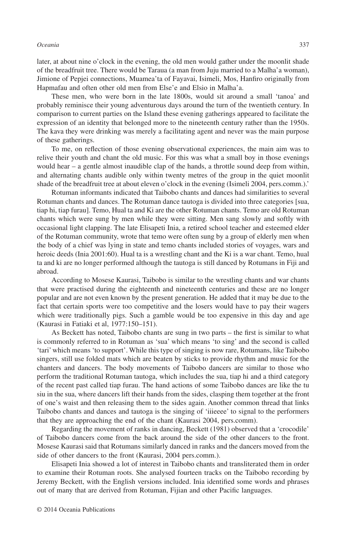later, at about nine o'clock in the evening, the old men would gather under the moonlit shade of the breadfruit tree. There would be Taraua (a man from Juju married to a Malha'a woman), Jimione of Pepjei connections, Muamea'ta of Fayavai, Isimeli, Mos, Hanfiro originally from Hapmafau and often other old men from Else'e and Elsio in Malha'a.

These men, who were born in the late 1800s, would sit around a small 'tanoa' and probably reminisce their young adventurous days around the turn of the twentieth century. In comparison to current parties on the Island these evening gatherings appeared to facilitate the expression of an identity that belonged more to the nineteenth century rather than the 1950s. The kava they were drinking was merely a facilitating agent and never was the main purpose of these gatherings.

To me, on reflection of those evening observational experiences, the main aim was to relive their youth and chant the old music. For this was what a small boy in those evenings would hear – a gentle almost inaudible clap of the hands, a throttle sound deep from within, and alternating chants audible only within twenty metres of the group in the quiet moonlit shade of the breadfruit tree at about eleven o'clock in the evening (Isimeli 2004, pers.comm.).'

Rotuman informants indicated that Taibobo chants and dances had similarities to several Rotuman chants and dances. The Rotuman dance tautoga is divided into three categories [sua, tiap hi, tiap furau]. Temo, Hual ta and Ki are the other Rotuman chants. Temo are old Rotuman chants which were sung by men while they were sitting. Men sang slowly and softly with occasional light clapping. The late Elisapeti Inia, a retired school teacher and esteemed elder of the Rotuman community, wrote that temo were often sung by a group of elderly men when the body of a chief was lying in state and temo chants included stories of voyages, wars and heroic deeds (Inia 2001:60). Hual ta is a wrestling chant and the Ki is a war chant. Temo, hual ta and ki are no longer performed although the tautoga is still danced by Rotumans in Fiji and abroad.

According to Mosese Kaurasi, Taibobo is similar to the wrestling chants and war chants that were practised during the eighteenth and nineteenth centuries and these are no longer popular and are not even known by the present generation. He added that it may be due to the fact that certain sports were too competitive and the losers would have to pay their wagers which were traditionally pigs. Such a gamble would be too expensive in this day and age (Kaurasi in Fatiaki et al, 1977:150–151).

As Beckett has noted, Taibobo chants are sung in two parts – the first is similar to what is commonly referred to in Rotuman as 'sua' which means 'to sing' and the second is called 'tari' which means 'to support'. While this type of singing is now rare, Rotumans, like Taibobo singers, still use folded mats which are beaten by sticks to provide rhythm and music for the chanters and dancers. The body movements of Taibobo dancers are similar to those who perform the traditional Rotuman tautoga, which includes the sua, tiap hi and a third category of the recent past called tiap furau. The hand actions of some Taibobo dances are like the tu siu in the sua, where dancers lift their hands from the sides, clasping them together at the front of one's waist and then releasing them to the sides again. Another common thread that links Taibobo chants and dances and tautoga is the singing of 'iiieeee' to signal to the performers that they are approaching the end of the chant (Kaurasi 2004, pers.comm).

Regarding the movement of ranks in dancing, Beckett (1981) observed that a 'crocodile' of Taibobo dancers come from the back around the side of the other dancers to the front. Mosese Kaurasi said that Rotumans similarly danced in ranks and the dancers moved from the side of other dancers to the front (Kaurasi, 2004 pers.comm.).

Elisapeti Inia showed a lot of interest in Taibobo chants and transliterated them in order to examine their Rotuman roots. She analysed fourteen tracks on the Taibobo recording by Jeremy Beckett, with the English versions included. Inia identified some words and phrases out of many that are derived from Rotuman, Fijian and other Pacific languages.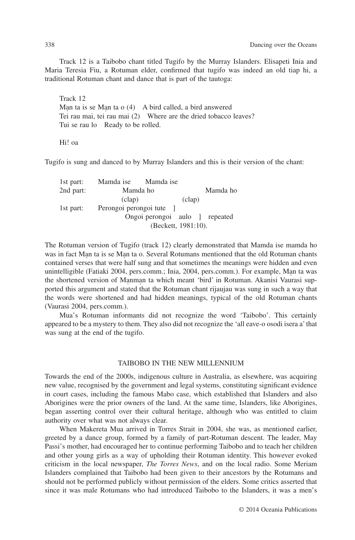Track 12 is a Taibobo chant titled Tugifo by the Murray Islanders. Elisapeti Inia and Maria Teresia Fiu, a Rotuman elder, confirmed that tugifo was indeed an old tiap hi, a traditional Rotuman chant and dance that is part of the tautoga:

Track 12 Man ta is se Man ta o  $(4)$  A bird called, a bird answered Tei rau mai, tei rau mai (2) Where are the dried tobacco leaves? Tui se rau lo Ready to be rolled.

Hi! oa

Tugifo is sung and danced to by Murray Islanders and this is their version of the chant:

| Mamda ho                 |        | Mamda ho                                                                     |
|--------------------------|--------|------------------------------------------------------------------------------|
| clap)                    | (clap) |                                                                              |
| Perongoi perongoi tute [ |        |                                                                              |
|                          |        |                                                                              |
|                          |        |                                                                              |
|                          |        | Mamda ise Mamda ise<br>Ongoi perongoi aulo ] repeated<br>(Beckett, 1981:10). |

The Rotuman version of Tugifo (track 12) clearly demonstrated that Mamda ise mamda ho was in fact Man ta is se Man ta o. Several Rotumans mentioned that the old Rotuman chants contained verses that were half sung and that sometimes the meanings were hidden and even unintelligible (Fatiaki 2004, pers.comm.; Inia, 2004, pers.comm.). For example, Man ta was the shortened version of Manman ta which meant 'bird' in Rotuman. Akanisi Vaurasi supported this argument and stated that the Rotuman chant rijaujau was sung in such a way that the words were shortened and had hidden meanings, typical of the old Rotuman chants (Vaurasi 2004, pers.comm.).

Mua's Rotuman informants did not recognize the word 'Taibobo'. This certainly appeared to be a mystery to them. They also did not recognize the 'all eave-o osodi isera a' that was sung at the end of the tugifo.

### TAIBOBO IN THE NEW MILLENNIUM

Towards the end of the 2000s, indigenous culture in Australia, as elsewhere, was acquiring new value, recognised by the government and legal systems, constituting significant evidence in court cases, including the famous Mabo case, which established that Islanders and also Aborigines were the prior owners of the land. At the same time, Islanders, like Aborigines, began asserting control over their cultural heritage, although who was entitled to claim authority over what was not always clear.

When Makereta Mua arrived in Torres Strait in 2004, she was, as mentioned earlier, greeted by a dance group, formed by a family of part-Rotuman descent. The leader, May Passi's mother, had encouraged her to continue performing Taibobo and to teach her children and other young girls as a way of upholding their Rotuman identity. This however evoked criticism in the local newspaper, *The Torres News*, and on the local radio. Some Meriam Islanders complained that Taibobo had been given to their ancestors by the Rotumans and should not be performed publicly without permission of the elders. Some critics asserted that since it was male Rotumans who had introduced Taibobo to the Islanders, it was a men's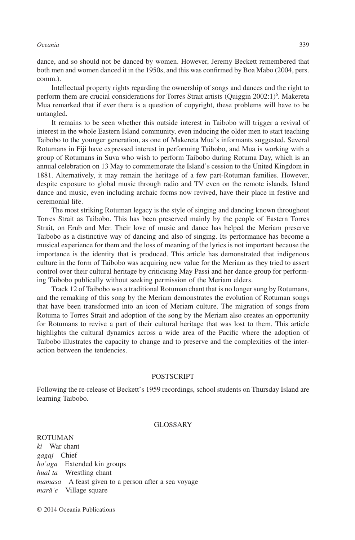## *Oceania* 339

dance, and so should not be danced by women. However, Jeremy Beckett remembered that both men and women danced it in the 1950s, and this was confirmed by Boa Mabo (2004, pers. comm.).

Intellectual property rights regarding the ownership of songs and dances and the right to perform them are crucial considerations for Torres Strait artists (Quiggin 2002:1)<sup>6</sup>. Makereta Mua remarked that if ever there is a question of copyright, these problems will have to be untangled.

It remains to be seen whether this outside interest in Taibobo will trigger a revival of interest in the whole Eastern Island community, even inducing the older men to start teaching Taibobo to the younger generation, as one of Makereta Mua's informants suggested. Several Rotumans in Fiji have expressed interest in performing Taibobo, and Mua is working with a group of Rotumans in Suva who wish to perform Taibobo during Rotuma Day, which is an annual celebration on 13 May to commemorate the Island's cession to the United Kingdom in 1881. Alternatively, it may remain the heritage of a few part-Rotuman families. However, despite exposure to global music through radio and TV even on the remote islands, Island dance and music, even including archaic forms now revived, have their place in festive and ceremonial life.

The most striking Rotuman legacy is the style of singing and dancing known throughout Torres Strait as Taibobo. This has been preserved mainly by the people of Eastern Torres Strait, on Erub and Mer. Their love of music and dance has helped the Meriam preserve Taibobo as a distinctive way of dancing and also of singing. Its performance has become a musical experience for them and the loss of meaning of the lyrics is not important because the importance is the identity that is produced. This article has demonstrated that indigenous culture in the form of Taibobo was acquiring new value for the Meriam as they tried to assert control over their cultural heritage by criticising May Passi and her dance group for performing Taibobo publically without seeking permission of the Meriam elders.

Track 12 of Taibobo was a traditional Rotuman chant that is no longer sung by Rotumans, and the remaking of this song by the Meriam demonstrates the evolution of Rotuman songs that have been transformed into an icon of Meriam culture. The migration of songs from Rotuma to Torres Strait and adoption of the song by the Meriam also creates an opportunity for Rotumans to revive a part of their cultural heritage that was lost to them. This article highlights the cultural dynamics across a wide area of the Pacific where the adoption of Taibobo illustrates the capacity to change and to preserve and the complexities of the interaction between the tendencies.

### POSTSCRIPT

Following the re-release of Beckett's 1959 recordings, school students on Thursday Island are learning Taibobo.

#### GLOSSARY

#### ROTUMAN

*ki* War chant *gagaj* Chief *ho'aga* Extended kin groups *hual ta* Wrestling chant *mamasa* A feast given to a person after a sea voyage *marä'e* Village square

© 2014 Oceania Publications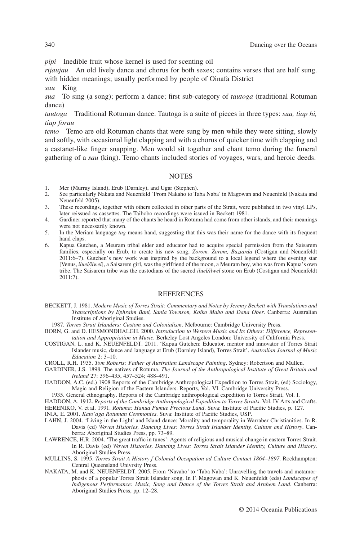*pipi* Inedible fruit whose kernel is used for scenting oil

*rijaujau* An old lively dance and chorus for both sexes; contains verses that are half sung. with hidden meanings; usually performed by people of Oinafa District

*sau* King

*sua* To sing (a song); perform a dance; first sub-category of *tautoga* (traditional Rotuman dance)

*tautoga* Traditional Rotuman dance. Tautoga is a suite of pieces in three types: *sua, tiap hi, tiap forau*

*temo* Temo are old Rotuman chants that were sung by men while they were sitting, slowly and softly, with occasional light clapping and with a chorus of quicker time with clapping and a castanet-like finger snapping. Men would sit together and chant temo during the funeral gathering of a *sau* (king). Temo chants included stories of voyages, wars, and heroic deeds.

## **NOTES**

- 1. Mer (Murray Island), Erub (Darnley), and Ugar (Stephen).<br>2. See particularly Nakata and Neuenfeld 'From Nakaho to Ta
- 2. See particularly Nakata and Neuenfeld 'From Nakaho to Taba Naba' in Magowan and Neuenfeld (Nakata and Neuenfeld 2005).
- 3. These recordings, together with others collected in other parts of the Strait, were published in two vinyl LPs, later reissued as cassettes. The Taibobo recordings were issued in Beckett 1981.
- 4. Gardiner reported that many of the chants he heard in Rotuma had come from other islands, and their meanings were not necessarily known.
- 5. In the Meriam language *tag* means hand, suggesting that this was their name for the dance with its frequent hand claps.
- 6. Kapua Gutchen, a Meuram tribal elder and educator had to acquire special permission from the Saisarem families, especially on Erub, to create his new song, *Zorom, Zorom, Baziarda* (Costigan and Neuenfeldt 2011:6–7). Gutchen's new work was inspired by the background to a local legend where the evening star [Venus, *iluel/ilwel*], a Saisarem girl, was the girlfriend of the moon, a Meuram boy, who was from Kapua's own tribe. The Saisarem tribe was the custodians of the sacred *iluel/ilwel* stone on Erub (Costigan and Neuenfeldt 2011:7).

#### REFERENCES

- BECKETT, J. 1981. *Modern Music of Torres Strait: Commentary and Notes by Jeremy Beckett with Translations and Transcriptions by Ephraim Bani, Sania Townson, Koiko Mabo and Dana Ober*. Canberra: Australian Institute of Aboriginal Studies.
- 1987. *Torres Strait Islanders: Custom and Colonialism*. Melbourne: Cambridge University Press.
- BORN, G. and D. HESMONDHALGH. 2000. *Introduction to Western Music and Its Others: Difference, Representation and Appropriation in Music*. Berkeley Lost Angeles London: University of California Press.
- COSTIGAN, L. and K. NEUENFELDT. 2011. 'Kapua Gutchen: Educator, mentor and innovator of Torres Strait Islander music, dance and language at Erub (Darnley Island), Torres Strait'. *Australian Journal of Music Education* 2: 3–10.
- CROLL, R.H. 1935. *Tom Roberts: Father of Australian Landscape Painting*. Sydney: Robertson and Mullen.
- GARDINER, J.S. 1898. The natives of Rotuma. *The Journal of the Anthropological Institute of Great Britain and Ireland* 27: 396–435, 457–524; 488–491.
- HADDON, A.C. (ed.) 1908 Reports of the Cambridge Anthropological Expedition to Torres Strait, (ed) Sociology, Magic and Religion of the Eastern Islanders. Reports, Vol. VI. Cambridge University Press.
	- 1935. General ethnography. Reports of the Cambridge anthropological expedition to Torres Strait, Vol. I.

HADDON, A. 1912. *Reports of the Cambridge Anthropological Expedition to Torres Straits*. Vol. IV Arts and Crafts. HERENIKO, V. et al. 1991. *Rotuma: Hanua Pumue Precious Land*. Suva: Institute of Pacific Studies, p. 127.

INIA, E. 2001. *Kato'aga Rotuman Ceremonies*. Suva: Institute of Pacific Studies, USP.

- LAHN, J. 2004. 'Living in the Light' and Island dance: Morality and temporality in Warraber Christianities. In R. Davis (ed) *Woven Histories, Dancing Lives: Torres Strait Islander Identity, Culture and History*. Canberra: Aboriginal Studies Press, pp. 73–89.
- LAWRENCE, H.R. 2004. 'The great traffic in tunes': Agents of religious and musical change in eastern Torres Strait. In R. Davis (ed) *Woven Histories, Dancing Lives: Torres Strait Islander Identity, Culture and History*. Aboriginal Studies Press.
- MULLINS, S. 1995. *Torres Strait A History f Colonial Occupation ad Culture Contact 1864–1897*. Rockhampton: Central Queensland Univrsity Press.
- NAKATA, M. and K. NEUENFELDT. 2005. From 'Navaho' to 'Taba Naba': Unravelling the travels and metamorphosis of a popular Torres Strait Islander song. In F. Magowan and K. Neuenfeldt (eds) *Landscapes of Indigenous Performance: Music, Song and Dance of the Torres Strait and Arnhem Land*. Canberra: Aboriginal Studies Press, pp. 12–28.